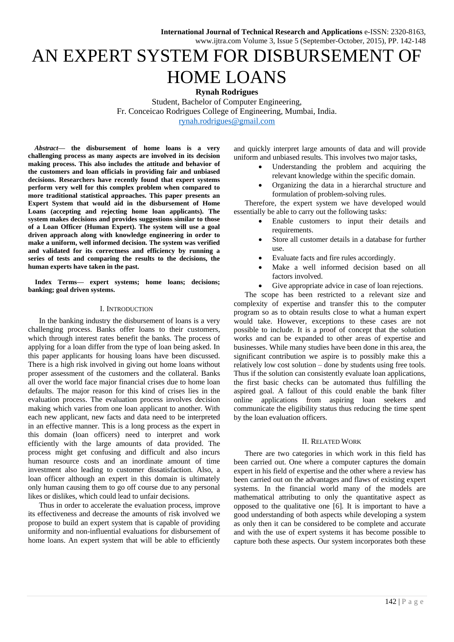# AN EXPERT SYSTEM FOR DISBURSEMENT OF HOME LOANS

**Rynah Rodrigues** 

Student, Bachelor of Computer Engineering, Fr. Conceicao Rodrigues College of Engineering, Mumbai, India. [rynah.rodrigues@gmail.com](mailto:rynah.rodrigues@gmail.com)

*Abstract***— the disbursement of home loans is a very challenging process as many aspects are involved in its decision making process. This also includes the attitude and behavior of the customers and loan officials in providing fair and unbiased decisions. Researchers have recently found that expert systems perform very well for this complex problem when compared to more traditional statistical approaches. This paper presents an Expert System that would aid in the disbursement of Home Loans (accepting and rejecting home loan applicants). The system makes decisions and provides suggestions similar to those of a Loan Officer (Human Expert). The system will use a goal driven approach along with knowledge engineering in order to make a uniform, well informed decision. The system was verified and validated for its correctness and efficiency by running a series of tests and comparing the results to the decisions, the human experts have taken in the past.** 

**Index Terms— expert systems; home loans; decisions; banking; goal driven systems.** 

#### I. INTRODUCTION

In the banking industry the disbursement of loans is a very challenging process. Banks offer loans to their customers, which through interest rates benefit the banks. The process of applying for a loan differ from the type of loan being asked. In this paper applicants for housing loans have been discussed. There is a high risk involved in giving out home loans without proper assessment of the customers and the collateral. Banks all over the world face major financial crises due to home loan defaults. The major reason for this kind of crises lies in the evaluation process. The evaluation process involves decision making which varies from one loan applicant to another. With each new applicant, new facts and data need to be interpreted in an effective manner. This is a long process as the expert in this domain (loan officers) need to interpret and work efficiently with the large amounts of data provided. The process might get confusing and difficult and also incurs human resource costs and an inordinate amount of time investment also leading to customer dissatisfaction. Also, a loan officer although an expert in this domain is ultimately only human causing them to go off course due to any personal likes or dislikes, which could lead to unfair decisions.

Thus in order to accelerate the evaluation process, improve its effectiveness and decrease the amounts of risk involved we propose to build an expert system that is capable of providing uniformity and non-influential evaluations for disbursement of home loans. An expert system that will be able to efficiently and quickly interpret large amounts of data and will provide uniform and unbiased results. This involves two major tasks,

- Understanding the problem and acquiring the relevant knowledge within the specific domain.
- Organizing the data in a hierarchal structure and formulation of problem-solving rules.

Therefore, the expert system we have developed would essentially be able to carry out the following tasks:

- Enable customers to input their details and requirements.
- Store all customer details in a database for further use.
- Evaluate facts and fire rules accordingly.
- Make a well informed decision based on all factors involved.
- Give appropriate advice in case of loan rejections.

The scope has been restricted to a relevant size and complexity of expertise and transfer this to the computer program so as to obtain results close to what a human expert would take. However, exceptions to these cases are not possible to include. It is a proof of concept that the solution works and can be expanded to other areas of expertise and businesses. While many studies have been done in this area, the significant contribution we aspire is to possibly make this a relatively low cost solution – done by students using free tools. Thus if the solution can consistently evaluate loan applications, the first basic checks can be automated thus fulfilling the aspired goal. A fallout of this could enable the bank filter online applications from aspiring loan seekers and communicate the eligibility status thus reducing the time spent by the loan evaluation officers.

#### II. RELATED WORK

There are two categories in which work in this field has been carried out. One where a computer captures the domain expert in his field of expertise and the other where a review has been carried out on the advantages and flaws of existing expert systems. In the financial world many of the models are mathematical attributing to only the quantitative aspect as opposed to the qualitative one [6]. It is important to have a good understanding of both aspects while developing a system as only then it can be considered to be complete and accurate and with the use of expert systems it has become possible to capture both these aspects. Our system incorporates both these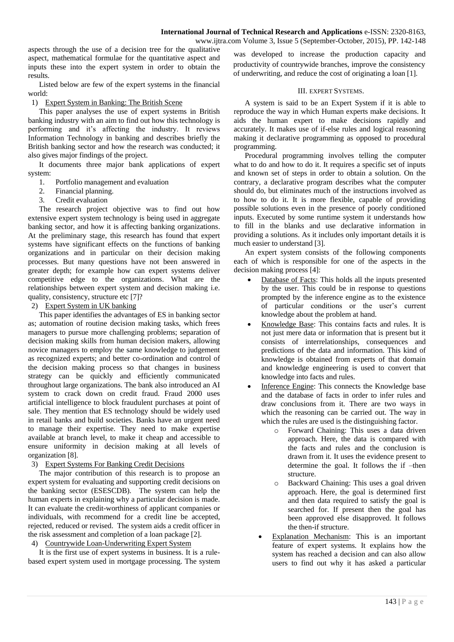www.ijtra.com Volume 3, Issue 5 (September-October, 2015), PP. 142-148

aspects through the use of a decision tree for the qualitative aspect, mathematical formulae for the quantitative aspect and inputs these into the expert system in order to obtain the results.

Listed below are few of the expert systems in the financial world:

1) Expert System in Banking: The British Scene

This paper analyses the use of expert systems in British banking industry with an aim to find out how this technology is performing and it's affecting the industry. It reviews Information Technology in banking and describes briefly the British banking sector and how the research was conducted; it also gives major findings of the project.

It documents three major bank applications of expert system:

- 1. Portfolio management and evaluation
- 2. Financial planning.
- 3. Credit evaluation

The research project objective was to find out how extensive expert system technology is being used in aggregate banking sector, and how it is affecting banking organizations. At the preliminary stage, this research has found that expert systems have significant effects on the functions of banking organizations and in particular on their decision making processes. But many questions have not been answered in greater depth; for example how can expert systems deliver competitive edge to the organizations. What are the relationships between expert system and decision making i.e. quality, consistency, structure etc [7]?

## 2) Expert System in UK banking

This paper identifies the advantages of ES in banking sector as; automation of routine decision making tasks, which frees managers to pursue more challenging problems; separation of decision making skills from human decision makers, allowing novice managers to employ the same knowledge to judgement as recognized experts; and better co-ordination and control of the decision making process so that changes in business strategy can be quickly and efficiently communicated throughout large organizations. The bank also introduced an AI system to crack down on credit fraud. Fraud 2000 uses artificial intelligence to block fraudulent purchases at point of sale. They mention that ES technology should be widely used in retail banks and build societies. Banks have an urgent need to manage their expertise. They need to make expertise available at branch level, to make it cheap and accessible to ensure uniformity in decision making at all levels of organization [8].

## 3) Expert Systems For Banking Credit Decisions

The major contribution of this research is to propose an expert system for evaluating and supporting credit decisions on the banking sector (ESESCDB). The system can help the human experts in explaining why a particular decision is made. It can evaluate the credit-worthiness of applicant companies or individuals, with recommend for a credit line be accepted, rejected, reduced or revised. The system aids a credit officer in the risk assessment and completion of a loan package [2].

## 4) Countrywide Loan-Underwriting Expert System

It is the first use of expert systems in business. It is a rulebased expert system used in mortgage processing. The system

was developed to increase the production capacity and productivity of countrywide branches, improve the consistency of underwriting, and reduce the cost of originating a loan [1].

#### III. EXPERT SYSTEMS.

A system is said to be an Expert System if it is able to reproduce the way in which Human experts make decisions. It aids the human expert to make decisions rapidly and accurately. It makes use of if-else rules and logical reasoning making it declarative programming as opposed to procedural programming.

Procedural programming involves telling the computer what to do and how to do it. It requires a specific set of inputs and known set of steps in order to obtain a solution. On the contrary, a declarative program describes what the computer should do, but eliminates much of the instructions involved as to how to do it. It is more flexible, capable of providing possible solutions even in the presence of poorly conditioned inputs. Executed by some runtime system it understands how to fill in the blanks and use declarative information in providing a solutions. As it includes only important details it is much easier to understand [3].

An expert system consists of the following components each of which is responsible for one of the aspects in the decision making process [4]:

- Database of Facts: This holds all the inputs presented by the user. This could be in response to questions prompted by the inference engine as to the existence of particular conditions or the user's current knowledge about the problem at hand.
- Knowledge Base: This contains facts and rules. It is not just mere data or information that is present but it consists of interrelationships, consequences and predictions of the data and information. This kind of knowledge is obtained from experts of that domain and knowledge engineering is used to convert that knowledge into facts and rules.
- Inference Engine: This connects the Knowledge base and the database of facts in order to infer rules and draw conclusions from it. There are two ways in which the reasoning can be carried out. The way in which the rules are used is the distinguishing factor.
	- o Forward Chaining: This uses a data driven approach. Here, the data is compared with the facts and rules and the conclusion is drawn from it. It uses the evidence present to determine the goal. It follows the if –then structure.
	- o Backward Chaining: This uses a goal driven approach. Here, the goal is determined first and then data required to satisfy the goal is searched for. If present then the goal has been approved else disapproved. It follows the then-if structure.
	- Explanation Mechanism: This is an important feature of expert systems. It explains how the system has reached a decision and can also allow users to find out why it has asked a particular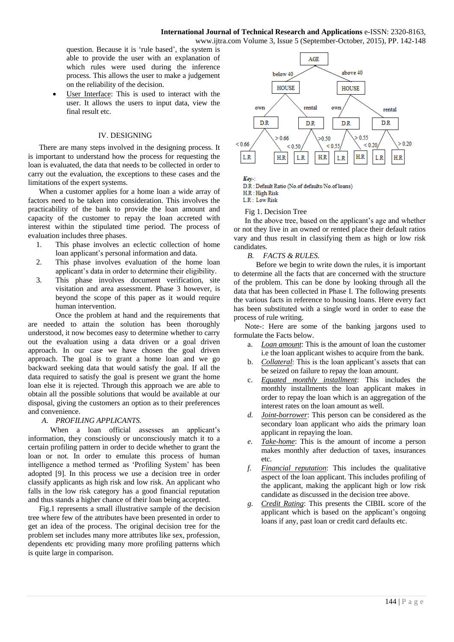question. Because it is 'rule based', the system is able to provide the user with an explanation of which rules were used during the inference process. This allows the user to make a judgement on the reliability of the decision.

 User Interface: This is used to interact with the user. It allows the users to input data, view the final result etc.

## IV. DESIGNING

There are many steps involved in the designing process. It is important to understand how the process for requesting the loan is evaluated, the data that needs to be collected in order to carry out the evaluation, the exceptions to these cases and the limitations of the expert systems.

When a customer applies for a home loan a wide array of factors need to be taken into consideration. This involves the practicability of the bank to provide the loan amount and capacity of the customer to repay the loan accreted with interest within the stipulated time period. The process of evaluation includes three phases.

- 1. This phase involves an eclectic collection of home loan applicant's personal information and data.
- 2. This phase involves evaluation of the home loan applicant's data in order to determine their eligibility.
- 3. This phase involves document verification, site visitation and area assessment. Phase 3 however, is beyond the scope of this paper as it would require human intervention.

Once the problem at hand and the requirements that are needed to attain the solution has been thoroughly understood, it now becomes easy to determine whether to carry out the evaluation using a data driven or a goal driven approach. In our case we have chosen the goal driven approach. The goal is to grant a home loan and we go backward seeking data that would satisfy the goal. If all the data required to satisfy the goal is present we grant the home loan else it is rejected. Through this approach we are able to obtain all the possible solutions that would be available at our disposal, giving the customers an option as to their preferences and convenience.

## *A. PROFILING APPLICANTS.*

 When a loan official assesses an applicant's information, they consciously or unconsciously match it to a certain profiling pattern in order to decide whether to grant the loan or not. In order to emulate this process of human intelligence a method termed as 'Profiling System' has been adopted [9]. In this process we use a decision tree in order classify applicants as high risk and low risk. An applicant who falls in the low risk category has a good financial reputation and thus stands a higher chance of their loan being accepted.

Fig.1 represents a small illustrative sample of the decision tree where few of the attributes have been presented in order to get an idea of the process. The original decision tree for the problem set includes many more attributes like sex, profession, dependents etc providing many more profiling patterns which is quite large in comparison.



 $Kev$ -:

D.R : Default Ratio (No.of defaults/No.of loans)

H.R: High Risk  $LR \cdot Low Risk$ 

## Fig 1. Decision Tree

In the above tree, based on the applicant's age and whether or not they live in an owned or rented place their default ratios vary and thus result in classifying them as high or low risk candidates.

## *B. FACTS & RULES.*

 Before we begin to write down the rules, it is important to determine all the facts that are concerned with the structure of the problem. This can be done by looking through all the data that has been collected in Phase I. The following presents the various facts in reference to housing loans. Here every fact has been substituted with a single word in order to ease the process of rule writing.

Note-: Here are some of the banking jargons used to formulate the Facts below.

- a. *Loan amount*: This is the amount of loan the customer i.e the loan applicant wishes to acquire from the bank.
- b. *Collateral*: This is the loan applicant's assets that can be seized on failure to repay the loan amount.
- c. *Equated monthly installment*: This includes the monthly installments the loan applicant makes in order to repay the loan which is an aggregation of the interest rates on the loan amount as well.
- *d. Joint-borrower*: This person can be considered as the secondary loan applicant who aids the primary loan applicant in repaying the loan.
- *e. Take-home*: This is the amount of income a person makes monthly after deduction of taxes, insurances etc.
- *f. Financial reputation*: This includes the qualitative aspect of the loan applicant. This includes profiling of the applicant, making the applicant high or low risk candidate as discussed in the decision tree above.
- *g. Credit Rating*: This presents the CIBIL score of the applicant which is based on the applicant's ongoing loans if any, past loan or credit card defaults etc.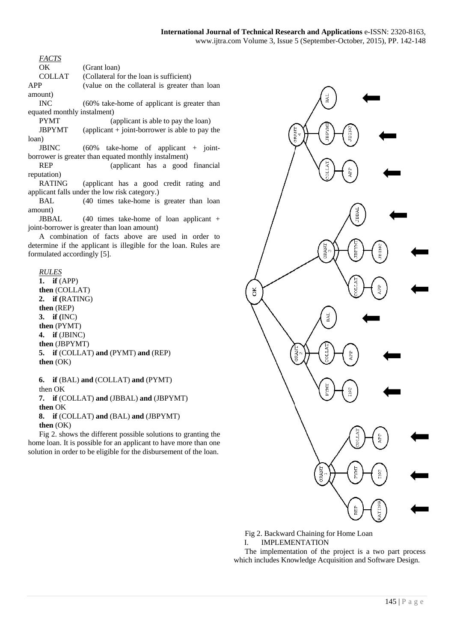*FACTS* 

OK (Grant loan)

COLLAT (Collateral for the loan is sufficient)

APP (value on the collateral is greater than loan amount)

INC (60% take-home of applicant is greater than equated monthly instalment)

PYMT (applicant is able to pay the loan)  $JBPYMT$  (applicant + joint-borrower is able to pay the loan)

JBINC (60% take-home of applicant + jointborrower is greater than equated monthly instalment)

REP (applicant has a good financial reputation)

RATING (applicant has a good credit rating and applicant falls under the low risk category.)

BAL (40 times take-home is greater than loan amount)

JBBAL (40 times take-home of loan applicant + joint-borrower is greater than loan amount)

A combination of facts above are used in order to determine if the applicant is illegible for the loan. Rules are formulated accordingly [5].

*RULES*  **1. if** (APP) **then** (COLLAT) **2. if (**RATING) **then** (REP) **3. if (**INC) **then** (PYMT) **4. if** (JBINC)

**then** (JBPYMT) **5. if** (COLLAT) **and** (PYMT) **and** (REP) **then** (OK)

**6. if** (BAL) **and** (COLLAT) **and** (PYMT) then OK **7. if** (COLLAT) **and** (JBBAL) **and** (JBPYMT) **then** OK **8. if** (COLLAT) **and** (BAL) **and** (JBPYMT) **then** (OK)

Fig 2. shows the different possible solutions to granting the home loan. It is possible for an applicant to have more than one solution in order to be eligible for the disbursement of the loan.



Fig 2. Backward Chaining for Home Loan

I. IMPLEMENTATION

The implementation of the project is a two part process which includes Knowledge Acquisition and Software Design.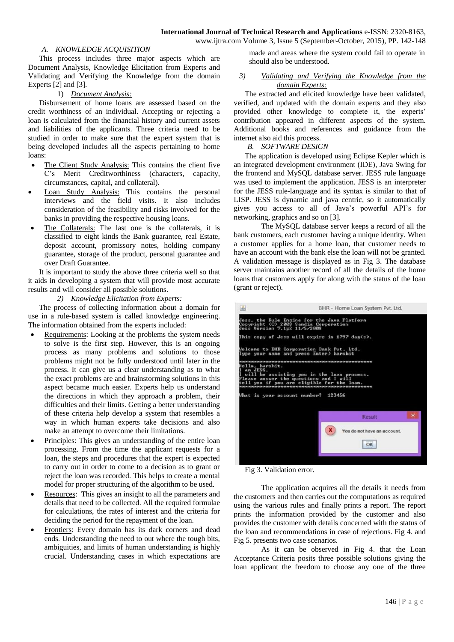*A. KNOWLEDGE ACQUISITION* 

This process includes three major aspects which are Document Analysis, Knowledge Elicitation from Experts and Validating and Verifying the Knowledge from the domain Experts [2] and [3].

## 1) *Document Analysis:*

Disbursement of home loans are assessed based on the credit worthiness of an individual. Accepting or rejecting a loan is calculated from the financial history and current assets and liabilities of the applicants. Three criteria need to be studied in order to make sure that the expert system that is being developed includes all the aspects pertaining to home loans:

- The Client Study Analysis: This contains the client five C's Merit Creditworthiness (characters, capacity, circumstances, capital, and collateral).
- Loan Study Analysis: This contains the personal interviews and the field visits. It also includes consideration of the feasibility and risks involved for the banks in providing the respective housing loans.
- The Collaterals: The last one is the collaterals, it is classified to eight kinds the Bank guarantee, real Estate, deposit account, promissory notes, holding company guarantee, storage of the product, personal guarantee and over Draft Guarantee.

It is important to study the above three criteria well so that it aids in developing a system that will provide most accurate results and will consider all possible solutions.

*2) Knowledge Elicitation from Experts:*

The process of collecting information about a domain for use in a rule-based system is called knowledge engineering. The information obtained from the experts included:

- Requirements: Looking at the problems the system needs to solve is the first step. However, this is an ongoing process as many problems and solutions to those problems might not be fully understood until later in the process. It can give us a clear understanding as to what the exact problems are and brainstorming solutions in this aspect became much easier. Experts help us understand the directions in which they approach a problem, their difficulties and their limits. Getting a better understanding of these criteria help develop a system that resembles a way in which human experts take decisions and also make an attempt to overcome their limitations.
- Principles: This gives an understanding of the entire loan processing. From the time the applicant requests for a loan, the steps and procedures that the expert is expected to carry out in order to come to a decision as to grant or reject the loan was recorded. This helps to create a mental model for proper structuring of the algorithm to be used.
- Resources: This gives an insight to all the parameters and details that need to be collected. All the required formulae for calculations, the rates of interest and the criteria for deciding the period for the repayment of the loan.
- Frontiers: Every domain has its dark corners and dead ends. Understanding the need to out where the tough bits, ambiguities, and limits of human understanding is highly crucial. Understanding cases in which expectations are

made and areas where the system could fail to operate in should also be understood.

#### *3) Validating and Verifying the Knowledge from the domain Experts:*

The extracted and elicited knowledge have been validated, verified, and updated with the domain experts and they also provided other knowledge to complete it, the experts' contribution appeared in different aspects of the system. Additional books and references and guidance from the internet also aid this process.

## *B. SOFTWARE DESIGN*

The application is developed using Eclipse Kepler which is an integrated development environment (IDE), Java Swing for the frontend and MySQL database server. JESS rule language was used to implement the application. JESS is an interpreter for the JESS rule-language and its syntax is similar to that of LISP. JESS is dynamic and java centric, so it automatically gives you access to all of Java's powerful API's for networking, graphics and so on [3].

The MySQL database server keeps a record of all the bank customers, each customer having a unique identity. When a customer applies for a home loan, that customer needs to have an account with the bank else the loan will not be granted. A validation message is displayed as in Fig 3. The database server maintains another record of all the details of the home loans that customers apply for along with the status of the loan (grant or reject).



Fig 3. Validation error.

The application acquires all the details it needs from the customers and then carries out the computations as required using the various rules and finally prints a report. The report prints the information provided by the customer and also provides the customer with details concerned with the status of the loan and recommendations in case of rejections. Fig 4. and Fig 5. presents two case scenarios.

As it can be observed in Fig 4. that the Loan Acceptance Criteria posits three possible solutions giving the loan applicant the freedom to choose any one of the three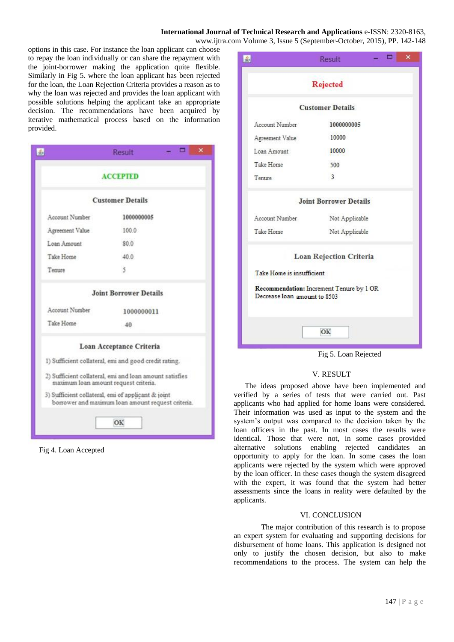# **International Journal of Technical Research and Applications** e-ISSN: 2320-8163,

www.ijtra.com Volume 3, Issue 5 (September-October, 2015), PP. 142-148

options in this case. For instance the loan applicant can choose to repay the loan individually or can share the repayment with the joint-borrower making the application quite flexible. Similarly in Fig 5. where the loan applicant has been rejected for the loan, the Loan Rejection Criteria provides a reason as to why the loan was rejected and provides the loan applicant with possible solutions helping the applicant take an appropriate decision. The recommendations have been acquired by iterative mathematical process based on the information provided.

|                                     | о<br>Result                                                                                              | × |  |  |  |
|-------------------------------------|----------------------------------------------------------------------------------------------------------|---|--|--|--|
| <b>ACCEPTED</b>                     |                                                                                                          |   |  |  |  |
|                                     | <b>Customer Details</b>                                                                                  |   |  |  |  |
| Account Number                      | 1000000005                                                                                               |   |  |  |  |
| Agreement Value                     | 100.0                                                                                                    |   |  |  |  |
| Loan Amount                         | \$0.0                                                                                                    |   |  |  |  |
| Take Home                           | 40.0                                                                                                     |   |  |  |  |
| Tenure                              | 5                                                                                                        |   |  |  |  |
|                                     | <b>Joint Borrower Details</b>                                                                            |   |  |  |  |
| Account Number                      | 1000000011                                                                                               |   |  |  |  |
| Take Home                           | $-40$                                                                                                    |   |  |  |  |
|                                     | Loan Acceptance Criteria                                                                                 |   |  |  |  |
|                                     | 1) Sufficient collateral, emi and good credit rating.                                                    |   |  |  |  |
| maximum loan amount request cntena. | 2) Sufficient collateral, emi and loan amount satisfies                                                  |   |  |  |  |
|                                     | 3) Sufficient collateral, emi of applicant & joint<br>borrower and maximum loan amount request criteria. |   |  |  |  |

ОК



|                              | <b>Rejected</b>                          |  |  |
|------------------------------|------------------------------------------|--|--|
|                              | <b>Customer Details</b>                  |  |  |
| Account Number               | 1000000005                               |  |  |
| Agreement Value              | 10000                                    |  |  |
| Loan Amount                  | 10000                                    |  |  |
| Take Home                    | 500                                      |  |  |
| Tenure                       | $\overline{3}$                           |  |  |
|                              | <b>Joint Borrower Details</b>            |  |  |
| Account Number               | Not Applicable                           |  |  |
| Take Home                    | Not Applicable                           |  |  |
|                              | <b>Loan Rejection Criteria</b>           |  |  |
| Take Home is insufficient    |                                          |  |  |
| Decrease loan amount to 8503 | Recommendation: Increment Tenure by 1 OR |  |  |
|                              | OK                                       |  |  |

## V. RESULT

The ideas proposed above have been implemented and verified by a series of tests that were carried out. Past applicants who had applied for home loans were considered. Their information was used as input to the system and the system's output was compared to the decision taken by the loan officers in the past. In most cases the results were identical. Those that were not, in some cases provided alternative solutions enabling rejected candidates an opportunity to apply for the loan. In some cases the loan applicants were rejected by the system which were approved by the loan officer. In these cases though the system disagreed with the expert, it was found that the system had better assessments since the loans in reality were defaulted by the applicants.

#### VI. CONCLUSION

The major contribution of this research is to propose an expert system for evaluating and supporting decisions for disbursement of home loans. This application is designed not only to justify the chosen decision, but also to make recommendations to the process. The system can help the